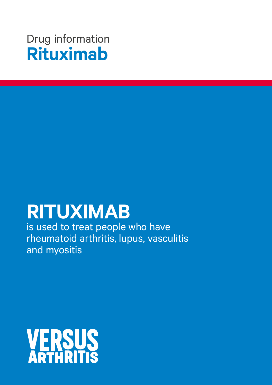## Drug information **Rituximab**

# **RITUXIMAB**

is used to treat people who have rheumatoid arthritis, lupus, vasculitis and myositis

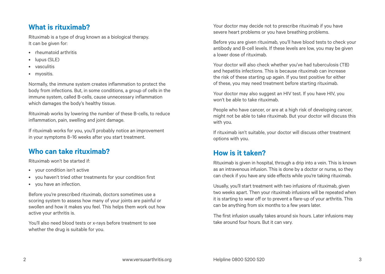#### **What is rituximab?**

Rituximab is a type of drug known as a biological therapy. It can be given for:

- rheumatoid arthritis
- lupus (SLE)
- vasculitis
- myositis.

Normally, the immune system creates inflammation to protect the body from infections. But, in some conditions, a group of cells in the immune system, called B-cells, cause unnecessary inflammation which damages the body's healthy tissue.

Rituximab works by lowering the number of these B-cells, to reduce inflammation, pain, swelling and joint damage.

If rituximab works for you, you'll probably notice an improvement in your symptoms 8–16 weeks after you start treatment.

#### **Who can take rituximab?**

Rituximab won't be started if:

- your condition isn't active
- you haven't tried other treatments for your condition first
- you have an infection.

Before you're prescribed rituximab, doctors sometimes use a scoring system to assess how many of your joints are painful or swollen and how it makes you feel. This helps them work out how active your arthritis is.

You'll also need blood tests or x-rays before treatment to see whether the drug is suitable for you.

Your doctor may decide not to prescribe rituximab if you have severe heart problems or you have breathing problems.

Before you are given rituximab, you'll have blood tests to check your antibody and B-cell levels. If these levels are low, you may be given a lower dose of rituximab.

Your doctor will also check whether you've had tuberculosis (TB) and hepatitis infections. This is because rituximab can increase the risk of these starting up again. If you test positive for either of these, you may need treatment before starting rituximab.

Your doctor may also suggest an HIV test. If you have HIV, you won't be able to take rituximab.

People who have cancer, or are at a high risk of developing cancer, might not be able to take rituximab. But your doctor will discuss this with you.

If rituximab isn't suitable, your doctor will discuss other treatment options with you.

#### **How is it taken?**

Rituximab is given in hospital, through a drip into a vein. This is known as an intravenous infusion. This is done by a doctor or nurse, so they can check if you have any side effects while you're taking rituximab.

Usually, you'll start treatment with two infusions of rituximab, given two weeks apart. Then your rituximab infusions will be repeated when it is starting to wear off or to prevent a flare-up of your arthritis. This can be anything from six months to a few years later.

The first infusion usually takes around six hours. Later infusions may take around four hours. But it can vary.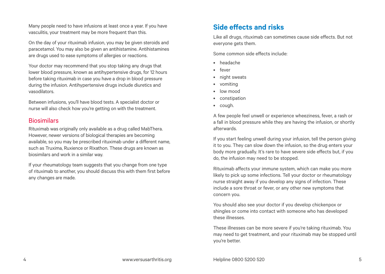Many people need to have infusions at least once a year. If you have vasculitis, your treatment may be more frequent than this.

On the day of your rituximab infusion, you may be given steroids and paracetamol. You may also be given an antihistamine. Antihistamines are drugs used to ease symptoms of allergies or reactions.

Your doctor may recommend that you stop taking any drugs that lower blood pressure, known as antihypertensive drugs, for 12 hours before taking rituximab in case you have a drop in blood pressure during the infusion. Antihypertensive drugs include diuretics and vasodilators.

Between infusions, you'll have blood tests. A specialist doctor or nurse will also check how you're getting on with the treatment.

#### **Biosimilars**

Rituximab was originally only available as a drug called MabThera. However, newer versions of biological therapies are becoming available, so you may be prescribed rituximab under a different name, such as Truxima, Ruxience or Rixathon. These drugs are known as biosimilars and work in a similar way.

If your rheumatology team suggests that you change from one type of rituximab to another, you should discuss this with them first before any changes are made.

#### **Side effects and risks**

Like all drugs, rituximab can sometimes cause side effects. But not everyone gets them.

Some common side effects include:

- headache
- fever
- night sweats
- vomiting
- low mood
- constipation
- cough.

A few people feel unwell or experience wheeziness, fever, a rash or a fall in blood pressure while they are having the infusion, or shortly afterwards.

If you start feeling unwell during your infusion, tell the person giving it to you. They can slow down the infusion, so the drug enters your body more gradually. It's rare to have severe side effects but, if you do, the infusion may need to be stopped.

Rituximab affects your immune system, which can make you more likely to pick up some infections. Tell your doctor or rheumatology nurse straight away if you develop any signs of infection. These include a sore throat or fever, or any other new symptoms that concern you.

You should also see your doctor if you develop chickenpox or shingles or come into contact with someone who has developed these illnesses.

These illnesses can be more severe if you're taking rituximab. You may need to get treatment, and your rituximab may be stopped until you're better.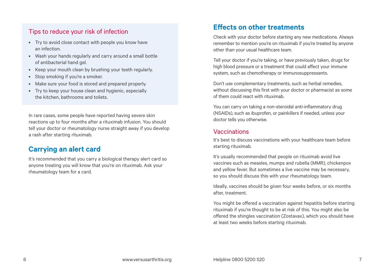#### Tips to reduce your risk of infection

- Try to avoid close contact with people you know have an infection.
- Wash your hands regularly and carry around a small bottle of antibacterial hand gel.
- Keep your mouth clean by brushing your teeth regularly.
- Stop smoking if you're a smoker.
- Make sure your food is stored and prepared properly.
- Try to keep your house clean and hygienic, especially the kitchen, bathrooms and toilets.

In rare cases, some people have reported having severe skin reactions up to four months after a rituximab infusion. You should tell your doctor or rheumatology nurse straight away if you develop a rash after starting rituximab.

#### **Carrying an alert card**

It's recommended that you carry a biological therapy alert card so anyone treating you will know that you're on rituximab. Ask your rheumatology team for a card.

#### **Effects on other treatments**

Check with your doctor before starting any new medications. Always remember to mention you're on rituximab if you're treated by anyone other than your usual healthcare team.

Tell your doctor if you're taking, or have previously taken, drugs for high blood pressure or a treatment that could affect your immune system, such as chemotherapy or immunosuppressants.

Don't use complementary treatments, such as herbal remedies, without discussing this first with your doctor or pharmacist as some of them could react with rituximab.

You can carry on taking a non-steroidal anti-inflammatory drug (NSAIDs), such as ibuprofen, or painkillers if needed, unless your doctor tells you otherwise.

#### Vaccinations

It's best to discuss vaccinations with your healthcare team before starting rituximab.

It's usually recommended that people on rituximab avoid live vaccines such as measles, mumps and rubella (MMR), chickenpox and yellow fever. But sometimes a live vaccine may be necessary, so you should discuss this with your rheumatology team.

Ideally, vaccines should be given four weeks before, or six months after, treatment.

You might be offered a vaccination against hepatitis before starting rituximab if you're thought to be at risk of this. You might also be offered the shingles vaccination (Zostavax), which you should have at least two weeks before starting rituximab.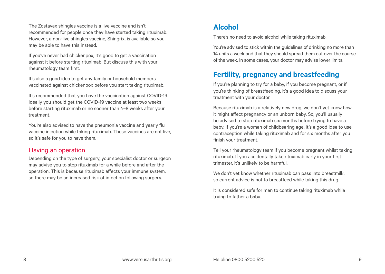The Zostavax shingles vaccine is a live vaccine and isn't recommended for people once they have started taking rituximab. However, a non-live shingles vaccine, Shingrix, is available so you may be able to have this instead.

If you've never had chickenpox, it's good to get a vaccination against it before starting rituximab. But discuss this with your rheumatology team first.

It's also a good idea to get any family or household members vaccinated against chickenpox before you start taking rituximab.

It's recommended that you have the vaccination against COVID-19. Ideally you should get the COVID-19 vaccine at least two weeks before starting rituximab or no sooner than 4–8 weeks after your treatment.

You're also advised to have the pneumonia vaccine and yearly flu vaccine injection while taking rituximab. These vaccines are not live, so it's safe for you to have them.

#### Having an operation

Depending on the type of surgery, your specialist doctor or surgeon may advise you to stop rituximab for a while before and after the operation. This is because rituximab affects your immune system, so there may be an increased risk of infection following surgery.

#### **Alcohol**

There's no need to avoid alcohol while taking rituximab.

You're advised to stick within the guidelines of drinking no more than 14 units a week and that they should spread them out over the course of the week. In some cases, your doctor may advise lower limits.

### **Fertility, pregnancy and breastfeeding**

If you're planning to try for a baby, if you become pregnant, or if you're thinking of breastfeeding, it's a good idea to discuss your treatment with your doctor.

Because rituximab is a relatively new drug, we don't yet know how it might affect pregnancy or an unborn baby. So, you'll usually be advised to stop rituximab six months before trying to have a baby. If you're a woman of childbearing age, it's a good idea to use contraception while taking rituximab and for six months after you finish your treatment.

Tell your rheumatology team if you become pregnant whilst taking rituximab. If you accidentally take rituximab early in your first trimester, it's unlikely to be harmful.

We don't yet know whether rituximab can pass into breastmilk, so current advice is not to breastfeed while taking this drug.

It is considered safe for men to continue taking rituximab while trying to father a baby.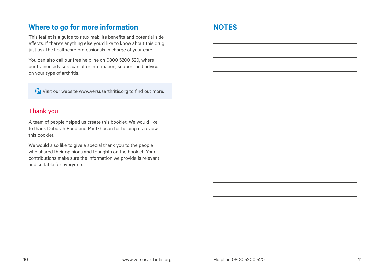#### **Where to go for more information NOTES**

This leaflet is a guide to rituximab, its benefits and potential side effects. If there's anything else you'd like to know about this drug, just ask the healthcare professionals in charge of your care.

You can also call our free helpline on 0800 5200 520, where our trained advisors can offer information, support and advice on your type of arthritis.

Visit our website [www.versusarthritis.org](http://www.versusarthritis.org) to find out more.

#### Thank you!

A team of people helped us create this booklet. We would like to thank Deborah Bond and Paul Gibson for helping us review this booklet.

We would also like to give a special thank you to the people who shared their opinions and thoughts on the booklet. Your contributions make sure the information we provide is relevant and suitable for everyone.